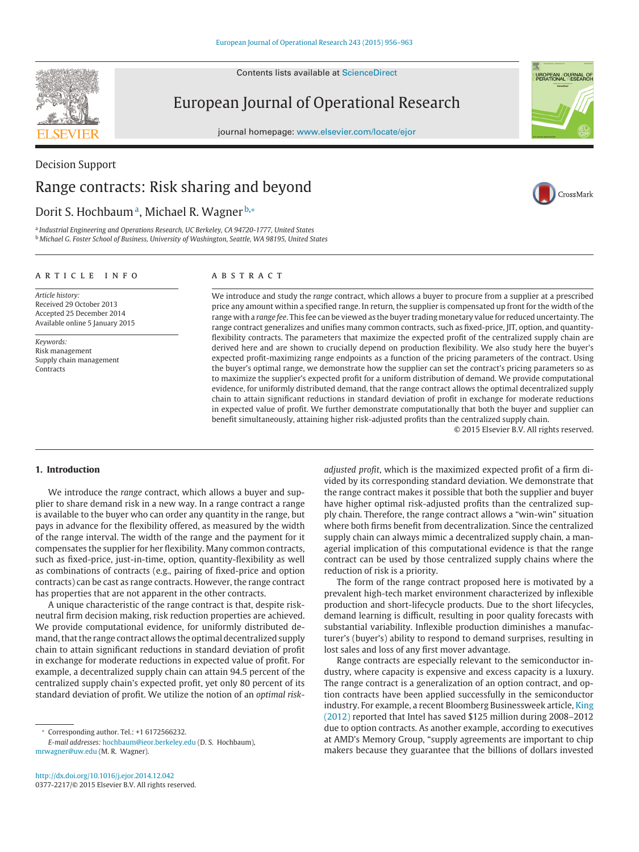Contents lists available at [ScienceDirect](http://www.ScienceDirect.com)

European Journal of Operational Research

journal homepage: [www.elsevier.com/locate/ejor](http://www.elsevier.com/locate/ejor)



CrossMark

# Decision Support Range contracts: Risk sharing and beyond

# Dorit S. Hochbaum<sup>a</sup>, Michael R. Wagner<sup>b,\*</sup>

<sup>a</sup> *Industrial Engineering and Operations Research, UC Berkeley, CA 94720-1777, United States* <sup>b</sup> *Michael G. Foster School of Business, University of Washington, Seattle, WA 98195, United States*

# article info

*Article history:* Received 29 October 2013 Accepted 25 December 2014 Available online 5 January 2015

*Keywords:* Risk management Supply chain management **Contracts** 

# **ARSTRACT**

We introduce and study the *range* contract, which allows a buyer to procure from a supplier at a prescribed price any amount within a specified range. In return, the supplier is compensated up front for the width of the range with a *range fee*. This fee can be viewed as the buyer trading monetary value for reduced uncertainty. The range contract generalizes and unifies many common contracts, such as fixed-price, JIT, option, and quantityflexibility contracts. The parameters that maximize the expected profit of the centralized supply chain are derived here and are shown to crucially depend on production flexibility. We also study here the buyer's expected profit-maximizing range endpoints as a function of the pricing parameters of the contract. Using the buyer's optimal range, we demonstrate how the supplier can set the contract's pricing parameters so as to maximize the supplier's expected profit for a uniform distribution of demand. We provide computational evidence, for uniformly distributed demand, that the range contract allows the optimal decentralized supply chain to attain significant reductions in standard deviation of profit in exchange for moderate reductions in expected value of profit. We further demonstrate computationally that both the buyer and supplier can benefit simultaneously, attaining higher risk-adjusted profits than the centralized supply chain.

© 2015 Elsevier B.V. All rights reserved.

# **1. Introduction**

We introduce the *range* contract, which allows a buyer and supplier to share demand risk in a new way. In a range contract a range is available to the buyer who can order any quantity in the range, but pays in advance for the flexibility offered, as measured by the width of the range interval. The width of the range and the payment for it compensates the supplier for her flexibility. Many common contracts, such as fixed-price, just-in-time, option, quantity-flexibility as well as combinations of contracts (e.g., pairing of fixed-price and option contracts) can be cast as range contracts. However, the range contract has properties that are not apparent in the other contracts.

A unique characteristic of the range contract is that, despite riskneutral firm decision making, risk reduction properties are achieved. We provide computational evidence, for uniformly distributed demand, that the range contract allows the optimal decentralized supply chain to attain significant reductions in standard deviation of profit in exchange for moderate reductions in expected value of profit. For example, a decentralized supply chain can attain 94.5 percent of the centralized supply chain's expected profit, yet only 80 percent of its standard deviation of profit. We utilize the notion of an *optimal risk-*

*E-mail addresses:* [hochbaum@ieor.berkeley.edu](mailto:hochbaum@ieor.berkeley.edu) (D. S. Hochbaum), [mrwagner@uw.edu](mailto:mrwagner@uw.edu) (M. R. Wagner).

*adjusted profit*, which is the maximized expected profit of a firm divided by its corresponding standard deviation. We demonstrate that the range contract makes it possible that both the supplier and buyer have higher optimal risk-adjusted profits than the centralized supply chain. Therefore, the range contract allows a "win-win" situation where both firms benefit from decentralization. Since the centralized supply chain can always mimic a decentralized supply chain, a managerial implication of this computational evidence is that the range contract can be used by those centralized supply chains where the reduction of risk is a priority.

The form of the range contract proposed here is motivated by a prevalent high-tech market environment characterized by inflexible production and short-lifecycle products. Due to the short lifecycles, demand learning is difficult, resulting in poor quality forecasts with substantial variability. Inflexible production diminishes a manufacturer's (buyer's) ability to respond to demand surprises, resulting in lost sales and loss of any first mover advantage.

Range contracts are especially relevant to the semiconductor industry, where capacity is expensive and excess capacity is a luxury. The range contract is a generalization of an option contract, and option contracts have been applied successfully in the semiconductor [industry. For example, a recent Bloomberg Businessweek article,](#page-7-0) King (201[2\)](#page-7-0) reported that Intel has saved \$125 million during 2008–2012 due to option contracts. As another example, according to executives at AMD's Memory Group, "supply agreements are important to chip makers because they guarantee that the billions of dollars invested

<sup>∗</sup> Corresponding author. Tel.: +1 6172566232.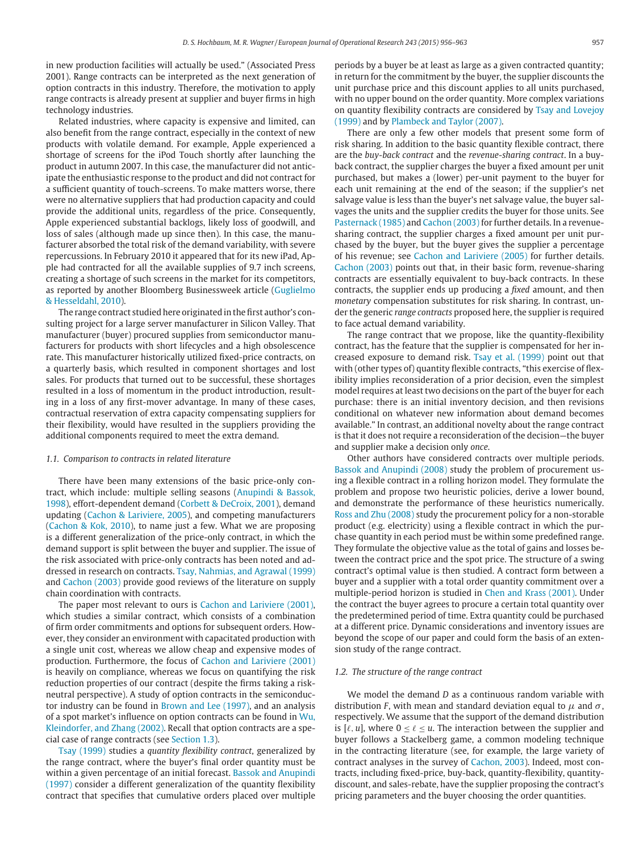in new production facilities will actually be used." (Associated Press 2001). Range contracts can be interpreted as the next generation of option contracts in this industry. Therefore, the motivation to apply range contracts is already present at supplier and buyer firms in high technology industries.

Related industries, where capacity is expensive and limited, can also benefit from the range contract, especially in the context of new products with volatile demand. For example, Apple experienced a shortage of screens for the iPod Touch shortly after launching the product in autumn 2007. In this case, the manufacturer did not anticipate the enthusiastic response to the product and did not contract for a sufficient quantity of touch-screens. To make matters worse, there were no alternative suppliers that had production capacity and could provide the additional units, regardless of the price. Consequently, Apple experienced substantial backlogs, likely loss of goodwill, and loss of sales (although made up since then). In this case, the manufacturer absorbed the total risk of the demand variability, with severe repercussions. In February 2010 it appeared that for its new iPad, Apple had contracted for all the available supplies of 9.7 inch screens, creating a shortage of such screens in the market for its competitors, [as reported by another Bloomberg Businessweek article \(Guglielmo](#page-7-0) & Hesseldahl, 2010).

The range contract studied here originated in the first author's consulting project for a large server manufacturer in Silicon Valley. That manufacturer (buyer) procured supplies from semiconductor manufacturers for products with short lifecycles and a high obsolescence rate. This manufacturer historically utilized fixed-price contracts, on a quarterly basis, which resulted in component shortages and lost sales. For products that turned out to be successful, these shortages resulted in a loss of momentum in the product introduction, resulting in a loss of any first-mover advantage. In many of these cases, contractual reservation of extra capacity compensating suppliers for their flexibility, would have resulted in the suppliers providing the additional components required to meet the extra demand.

#### *1.1. Comparison to contracts in related literature*

There have been many extensions of the basic price-only contract, which include: multiple selling seasons (Anupindi & Bassok, [1998\), effort-dependent demand \(Corbett & DeCroix, 2001\), demand](#page-7-0) updating [\(Cachon & Lariviere, 2005\)](#page-7-0), and competing manufacturers [\(Cachon & Kok, 2010\)](#page-7-0), to name just a few. What we are proposing is a different generalization of the price-only contract, in which the demand support is split between the buyer and supplier. The issue of the risk associated with price-only contracts has been noted and addressed in research on contracts. [Tsay, Nahmias, and Agrawal \(1999\)](#page-7-0) and [Cachon \(2003\)](#page-7-0) provide good reviews of the literature on supply chain coordination with contracts.

The paper most relevant to ours is [Cachon and Lariviere \(2001\),](#page-7-0) which studies a similar contract, which consists of a combination of firm order commitments and options for subsequent orders. However, they consider an environment with capacitated production with a single unit cost, whereas we allow cheap and expensive modes of production. Furthermore, the focus of [Cachon and Lariviere \(2001\)](#page-7-0) is heavily on compliance, whereas we focus on quantifying the risk reduction properties of our contract (despite the firms taking a riskneutral perspective). A study of option contracts in the semiconductor industry can be found in [Brown and Lee \(1997\),](#page-7-0) and an analysis of a spot market's influence on option contracts can be found in Wu, [Kleindorfer, and Zhang \(2002\). Recall that option contracts are a spe](#page-7-0)cial case of range contracts (see [Section 1.3\)](#page-2-0).

[Tsay \(1999\)](#page-7-0) studies a *quantity flexibility contract*, generalized by the range contract, where the buyer's final order quantity must be within a given percentage of an initial forecast. Bassok and Anupindi (199[7\)](#page-7-0) [consider a different generalization of the quantity flexibility](#page-7-0) contract that specifies that cumulative orders placed over multiple periods by a buyer be at least as large as a given contracted quantity; in return for the commitment by the buyer, the supplier discounts the unit purchase price and this discount applies to all units purchased, with no upper bound on the order quantity. More complex variations [on quantity flexibility contracts are considered by](#page-7-0) Tsay and Lovejoy (199[9\)](#page-7-0) and by [Plambeck and Taylor \(2007\).](#page-7-0)

There are only a few other models that present some form of risk sharing. In addition to the basic quantity flexible contract, there are the *buy-back contract* and the *revenue-sharing contract*. In a buyback contract, the supplier charges the buyer a fixed amount per unit purchased, but makes a (lower) per-unit payment to the buyer for each unit remaining at the end of the season; if the supplier's net salvage value is less than the buyer's net salvage value, the buyer salvages the units and the supplier credits the buyer for those units. See [Pasternack \(1985\)](#page-7-0) and [Cachon \(2003\)](#page-7-0) for further details. In a revenuesharing contract, the supplier charges a fixed amount per unit purchased by the buyer, but the buyer gives the supplier a percentage of his revenue; see [Cachon and Lariviere \(2005\)](#page-7-0) for further details. [Cachon \(2003\)](#page-7-0) points out that, in their basic form, revenue-sharing contracts are essentially equivalent to buy-back contracts. In these contracts, the supplier ends up producing a *fixed* amount, and then *monetary* compensation substitutes for risk sharing. In contrast, under the generic *range contracts* proposed here, the supplier is required to face actual demand variability.

The range contract that we propose, like the quantity-flexibility contract, has the feature that the supplier is compensated for her increased exposure to demand risk. [Tsay et al. \(1999\)](#page-7-0) point out that with (other types of) quantity flexible contracts, "this exercise of flexibility implies reconsideration of a prior decision, even the simplest model requires at least two decisions on the part of the buyer for each purchase: there is an initial inventory decision, and then revisions conditional on whatever new information about demand becomes available." In contrast, an additional novelty about the range contract is that it does not require a reconsideration of the decision—the buyer and supplier make a decision only *once*.

Other authors have considered contracts over multiple periods. [Bassok and Anupindi \(2008\)](#page-7-0) study the problem of procurement using a flexible contract in a rolling horizon model. They formulate the problem and propose two heuristic policies, derive a lower bound, and demonstrate the performance of these heuristics numerically. [Ross and Zhu \(2008\)](#page-7-0) study the procurement policy for a non-storable product (e.g. electricity) using a flexible contract in which the purchase quantity in each period must be within some predefined range. They formulate the objective value as the total of gains and losses between the contract price and the spot price. The structure of a swing contract's optimal value is then studied. A contract form between a buyer and a supplier with a total order quantity commitment over a multiple-period horizon is studied in [Chen and Krass \(2001\).](#page-7-0) Under the contract the buyer agrees to procure a certain total quantity over the predetermined period of time. Extra quantity could be purchased at a different price. Dynamic considerations and inventory issues are beyond the scope of our paper and could form the basis of an extension study of the range contract.

## *1.2. The structure of the range contract*

We model the demand *D* as a continuous random variable with distribution *F*, with mean and standard deviation equal to  $\mu$  and  $\sigma$ , respectively. We assume that the support of the demand distribution is  $[\ell, u]$ , where  $0 \le \ell \le u$ . The interaction between the supplier and buyer follows a Stackelberg game, a common modeling technique in the contracting literature (see, for example, the large variety of contract analyses in the survey of [Cachon, 2003\)](#page-7-0). Indeed, most contracts, including fixed-price, buy-back, quantity-flexibility, quantitydiscount, and sales-rebate, have the supplier proposing the contract's pricing parameters and the buyer choosing the order quantities.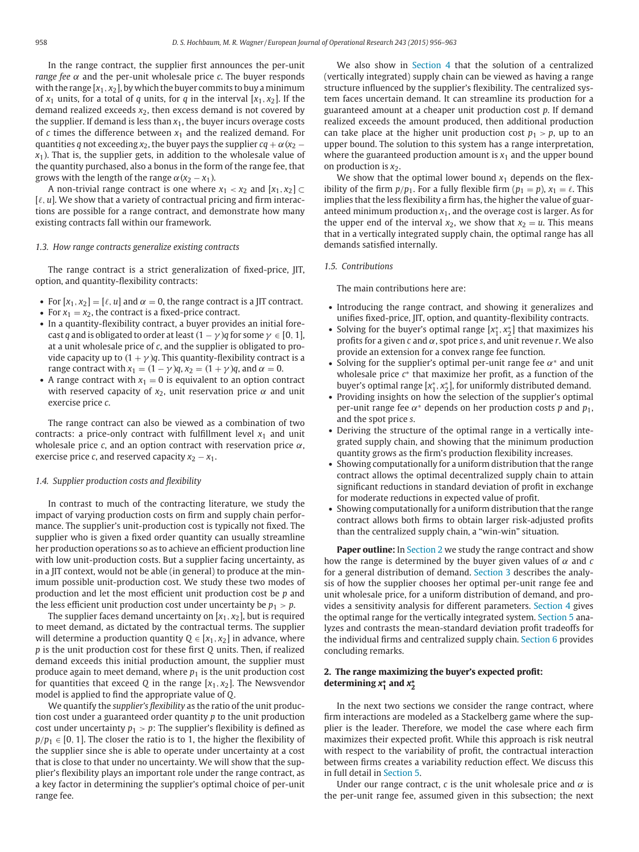<span id="page-2-0"></span>In the range contract, the supplier first announces the per-unit *range fee*  $\alpha$  and the per-unit wholesale price *c*. The buyer responds with the range  $[x_1, x_2]$ , by which the buyer commits to buy a minimum of  $x_1$  units, for a total of *q* units, for *q* in the interval  $[x_1, x_2]$ . If the demand realized exceeds  $x<sub>2</sub>$ , then excess demand is not covered by the supplier. If demand is less than  $x_1$ , the buyer incurs overage costs of  $c$  times the difference between  $x_1$  and the realized demand. For quantities *q* not exceeding  $x_2$ , the buyer pays the supplier  $cq + \alpha(x_2$  $x_1$ ). That is, the supplier gets, in addition to the wholesale value of the quantity purchased, also a bonus in the form of the range fee, that grows with the length of the range  $\alpha$  ( $x_2 - x_1$ ).

A non-trivial range contract is one where  $x_1 < x_2$  and  $[x_1, x_2] \subset$  $[\ell, u]$ . We show that a variety of contractual pricing and firm interactions are possible for a range contract, and demonstrate how many existing contracts fall within our framework.

# *1.3. How range contracts generalize existing contracts*

The range contract is a strict generalization of fixed-price, JIT, option, and quantity-flexibility contracts:

- For  $[x_1, x_2] = [\ell, u]$  and  $\alpha = 0$ , the range contract is a JIT contract.
- For  $x_1 = x_2$ , the contract is a fixed-price contract.
- In a quantity-flexibility contract, a buyer provides an initial forecast *q* and is obligated to order at least  $(1 - \gamma)q$  for some  $\gamma \in [0, 1]$ , at a unit wholesale price of *c*, and the supplier is obligated to provide capacity up to  $(1 + \gamma)q$ . This quantity-flexibility contract is a range contract with  $x_1 = (1 - \gamma)q$ ,  $x_2 = (1 + \gamma)q$ , and  $\alpha = 0$ .
- A range contract with  $x_1 = 0$  is equivalent to an option contract with reserved capacity of  $x_2$ , unit reservation price  $\alpha$  and unit exercise price *c*.

The range contract can also be viewed as a combination of two contracts: a price-only contract with fulfillment level  $x_1$  and unit wholesale price  $c$ , and an option contract with reservation price  $\alpha$ , exercise price *c*, and reserved capacity  $x_2 - x_1$ .

# *1.4. Supplier production costs and flexibility*

In contrast to much of the contracting literature, we study the impact of varying production costs on firm and supply chain performance. The supplier's unit-production cost is typically not fixed. The supplier who is given a fixed order quantity can usually streamline her production operations so as to achieve an efficient production line with low unit-production costs. But a supplier facing uncertainty, as in a JIT context, would not be able (in general) to produce at the minimum possible unit-production cost. We study these two modes of production and let the most efficient unit production cost be *p* and the less efficient unit production cost under uncertainty be  $p_1 > p$ .

The supplier faces demand uncertainty on  $[x_1, x_2]$ , but is required to meet demand, as dictated by the contractual terms. The supplier will determine a production quantity  $Q ∈ [x_1, x_2]$  in advance, where *p* is the unit production cost for these first *Q* units. Then, if realized demand exceeds this initial production amount, the supplier must produce again to meet demand, where  $p_1$  is the unit production cost for quantities that exceed *Q* in the range  $[x_1, x_2]$ . The Newsvendor model is applied to find the appropriate value of *Q*.

We quantify the *supplier's flexibility* as the ratio of the unit production cost under a guaranteed order quantity *p* to the unit production cost under uncertainty  $p_1 > p$ : The supplier's flexibility is defined as  $p/p_1 \in [0, 1]$ . The closer the ratio is to 1, the higher the flexibility of the supplier since she is able to operate under uncertainty at a cost that is close to that under no uncertainty. We will show that the supplier's flexibility plays an important role under the range contract, as a key factor in determining the supplier's optimal choice of per-unit range fee.

We also show in [Section 4](#page-5-0) that the solution of a centralized (vertically integrated) supply chain can be viewed as having a range structure influenced by the supplier's flexibility. The centralized system faces uncertain demand. It can streamline its production for a guaranteed amount at a cheaper unit production cost *p*. If demand realized exceeds the amount produced, then additional production can take place at the higher unit production cost  $p_1 > p$ , up to an upper bound. The solution to this system has a range interpretation, where the guaranteed production amount is  $x_1$  and the upper bound on production is  $x_2$ .

We show that the optimal lower bound  $x_1$  depends on the flexibility of the firm  $p/p_1$ . For a fully flexible firm  $(p_1 = p)$ ,  $x_1 = \ell$ . This implies that the less flexibility a firm has, the higher the value of guaranteed minimum production  $x_1$ , and the overage cost is larger. As for the upper end of the interval  $x_2$ , we show that  $x_2 = u$ . This means that in a vertically integrated supply chain, the optimal range has all demands satisfied internally.

# *1.5. Contributions*

The main contributions here are:

- Introducing the range contract, and showing it generalizes and unifies fixed-price, JIT, option, and quantity-flexibility contracts.
- Solving for the buyer's optimal range [*x*<sup>∗</sup> <sup>1</sup>, *<sup>x</sup>*<sup>∗</sup> <sup>2</sup>] that maximizes his profits for a given *c* and α, spot price *s*, and unit revenue *r*. We also provide an extension for a convex range fee function.
- Solving for the supplier's optimal per-unit range fee  $\alpha^*$  and unit wholesale price *c*<sup>∗</sup> that maximize her profit, as a function of the buyer's optimal range [ $x_1^*$ ,  $x_2^*$ ], for uniformly distributed demand.
- Providing insights on how the selection of the supplier's optimal per-unit range fee  $\alpha^*$  depends on her production costs p and  $p_1$ , and the spot price *s*.
- Deriving the structure of the optimal range in a vertically integrated supply chain, and showing that the minimum production quantity grows as the firm's production flexibility increases.
- Showing computationally for a uniform distribution that the range contract allows the optimal decentralized supply chain to attain significant reductions in standard deviation of profit in exchange for moderate reductions in expected value of profit.
- Showing computationally for a uniform distribution that the range contract allows both firms to obtain larger risk-adjusted profits than the centralized supply chain, a "win-win" situation.

**Paper outline:** In Section 2 we study the range contract and show how the range is determined by the buyer given values of  $\alpha$  and  $c$ for a general distribution of demand. [Section 3](#page-3-0) describes the analysis of how the supplier chooses her optimal per-unit range fee and unit wholesale price, for a uniform distribution of demand, and provides a sensitivity analysis for different parameters. [Section 4](#page-5-0) gives the optimal range for the vertically integrated system. [Section 5](#page-5-0) analyzes and contrasts the mean-standard deviation profit tradeoffs for the individual firms and centralized supply chain. [Section 6](#page-7-0) provides concluding remarks.

# **2. The range maximizing the buyer's expected profit: determining**  $x_1^*$  and  $x_2^*$

In the next two sections we consider the range contract, where firm interactions are modeled as a Stackelberg game where the supplier is the leader. Therefore, we model the case where each firm maximizes their expected profit. While this approach is risk neutral with respect to the variability of profit, the contractual interaction between firms creates a variability reduction effect. We discuss this in full detail in [Section 5.](#page-5-0)

Under our range contract,  $c$  is the unit wholesale price and  $\alpha$  is the per-unit range fee, assumed given in this subsection; the next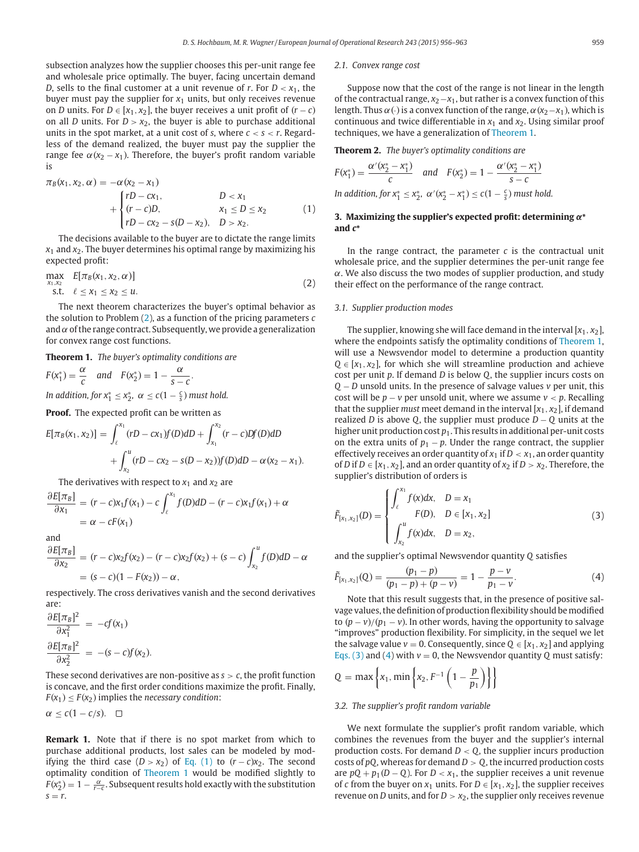<span id="page-3-0"></span>subsection analyzes how the supplier chooses this per-unit range fee and wholesale price optimally. The buyer, facing uncertain demand *D*, sells to the final customer at a unit revenue of *r*. For  $D < x_1$ , the buyer must pay the supplier for  $x_1$  units, but only receives revenue on *D* units. For *D* ∈ [ $x_1$ ,  $x_2$ ], the buyer receives a unit profit of  $(r − c)$ on all *D* units. For  $D > x_2$ , the buyer is able to purchase additional units in the spot market, at a unit cost of *s*, where *c* < *s* < *r*. Regardless of the demand realized, the buyer must pay the supplier the range fee  $\alpha$ ( $x_2 - x_1$ ). Therefore, the buyer's profit random variable is

$$
\pi_B(x_1, x_2, \alpha) = -\alpha (x_2 - x_1) + \begin{cases}\nrD - cx_1, & D < x_1 \\
(r - c)D, & x_1 \le D \le x_2 \\
rD - cx_2 - s(D - x_2), & D > x_2.\n\end{cases}
$$
\n(1)

The decisions available to the buyer are to dictate the range limits  $x_1$  and  $x_2$ . The buyer determines his optimal range by maximizing his expected profit:

$$
\max_{\substack{x_1, x_2\\ \text{s.t.} \quad \ell \le x_1 \le x_2 \le u.}} E[\pi_B(x_1, x_2, \alpha)] \tag{2}
$$

The next theorem characterizes the buyer's optimal behavior as the solution to Problem (2), as a function of the pricing parameters *c* and  $\alpha$  of the range contract. Subsequently, we provide a generalization for convex range cost functions.

**Theorem 1.** *The buyer's optimality conditions are*

$$
F(x_1^*) = \frac{\alpha}{c} \quad \text{and} \quad F(x_2^*) = 1 - \frac{\alpha}{s - c}.
$$
  
In addition, for  $x_1^* \le x_2^*$ ,  $\alpha \le c(1 - \frac{c}{s})$  must hold.

**Proof.** The expected profit can be written as

$$
E[\pi_B(x_1, x_2)] = \int_{\ell}^{x_1} (rD - cx_1) f(D) dD + \int_{x_1}^{x_2} (r - c) Df(D) dD
$$
  
+ 
$$
\int_{x_2}^{u} (rD - cx_2 - s(D - x_2)) f(D) dD - \alpha (x_2 - x_1).
$$

The derivatives with respect to  $x_1$  and  $x_2$  are

$$
\frac{\partial E[\pi_B]}{\partial x_1} = (r - c)x_1f(x_1) - c \int_{\ell}^{x_1} f(D) dD - (r - c)x_1f(x_1) + \alpha
$$
  
=  $\alpha - cF(x_1)$ 

and

$$
\frac{\partial E[\pi_B]}{\partial x_2} = (r - c)x_2 f(x_2) - (r - c)x_2 f(x_2) + (s - c) \int_{x_2}^u f(D) dD - \alpha
$$
  
= (s - c)(1 - F(x\_2)) - \alpha,

respectively. The cross derivatives vanish and the second derivatives are:

$$
\frac{\partial E[\pi_B]^2}{\partial x_1^2} = -cf(x_1)
$$

$$
\frac{\partial E[\pi_B]^2}{\partial x_2^2} = -(s-c)f(x_2).
$$

These second derivatives are non-positive as *s* > *c*, the profit function is concave, and the first order conditions maximize the profit. Finally,  $F(x_1) \leq F(x_2)$  implies the *necessary condition*:

$$
\alpha \leq c(1-c/s). \quad \Box
$$

**Remark 1.** Note that if there is no spot market from which to purchase additional products, lost sales can be modeled by modifying the third case  $(D > x_2)$  of Eq. (1) to  $(r - c)x_2$ . The second optimality condition of Theorem 1 would be modified slightly to  $F(x_2^*) = 1 - \frac{\alpha}{r-c}$ . Subsequent results hold exactly with the substitution  $s = r$ 

# *2.1. Convex range cost*

Suppose now that the cost of the range is not linear in the length of the contractual range, *x*2−*x*1, but rather is a convex function of this length. Thus  $\alpha(.)$  is a convex function of the range,  $\alpha(x_2-\alpha_1)$ , which is continuous and twice differentiable in  $x_1$  and  $x_2$ . Using similar proof techniques, we have a generalization of Theorem 1.

**Theorem 2.** *The buyer's optimality conditions are*

$$
F(x_1^*) = \frac{\alpha'(x_2^* - x_1^*)}{c} \quad \text{and} \quad F(x_2^*) = 1 - \frac{\alpha'(x_2^* - x_1^*)}{s - c}
$$
\nIn addition, for  $x_1^* \le x_2^*$ ,  $\alpha'(x_2^* - x_1^*) \le c(1 - \frac{c}{s})$  must hold.

# **3. Maximizing the supplier's expected profit: determining** *α***<sup>∗</sup> and** *c***∗**

In the range contract, the parameter *c* is the contractual unit wholesale price, and the supplier determines the per-unit range fee  $\alpha$ . We also discuss the two modes of supplier production, and study their effect on the performance of the range contract.

# *3.1. Supplier production modes*

The supplier, knowing she will face demand in the interval  $[x_1, x_2]$ , where the endpoints satisfy the optimality conditions of Theorem 1, will use a Newsvendor model to determine a production quantity  $Q \in [x_1, x_2]$ , for which she will streamline production and achieve cost per unit *p*. If demand *D* is below *Q*, the supplier incurs costs on *Q* − *D* unsold units. In the presence of salvage values *v* per unit, this cost will be *p* − *v* per unsold unit, where we assume *v* < *p*. Recalling that the supplier *must* meet demand in the interval  $[x_1, x_2]$ , if demand realized *D* is above *Q*, the supplier must produce *D* − *Q* units at the higher unit production cost  $p_1$ . This results in additional per-unit costs on the extra units of  $p_1 - p$ . Under the range contract, the supplier effectively receives an order quantity of  $x_1$  if  $D < x_1$ , an order quantity of *D* if  $D \in [x_1, x_2]$ , and an order quantity of  $x_2$  if  $D > x_2$ . Therefore, the supplier's distribution of orders is

$$
\tilde{F}_{[x_1,x_2]}(D) = \begin{cases}\n\int_{\ell}^{x_1} f(x)dx, & D = x_1 \\
F(D), & D \in [x_1, x_2] \\
\int_{x_2}^{u} f(x)dx, & D = x_2,\n\end{cases}
$$
\n(3)

and the supplier's optimal Newsvendor quantity *Q* satisfies

$$
\tilde{F}_{[x_1, x_2]}(Q) = \frac{(p_1 - p)}{(p_1 - p) + (p - v)} = 1 - \frac{p - v}{p_1 - v}.
$$
\n(4)

Note that this result suggests that, in the presence of positive salvage values, the definition of production flexibility should be modified to  $(p - v)/(p_1 - v)$ . In other words, having the opportunity to salvage "improves" production flexibility. For simplicity, in the sequel we let the salvage value  $v = 0$ . Consequently, since  $Q \in [x_1, x_2]$  and applying Eqs. (3) and (4) with  $v = 0$ , the Newsvendor quantity Q must satisfy:

$$
Q = \max\left\{x_1, \min\left\{x_2, F^{-1}\left(1 - \frac{p}{p_1}\right)\right\}\right\}
$$

# *3.2. The supplier's profit random variable*

We next formulate the supplier's profit random variable, which combines the revenues from the buyer and the supplier's internal production costs. For demand  $D < Q$ , the supplier incurs production costs of *pQ*, whereas for demand *D* > *Q*, the incurred production costs are  $pQ + p_1(D - Q)$ . For  $D < x_1$ , the supplier receives a unit revenue of *c* from the buyer on  $x_1$  units. For  $D \in [x_1, x_2]$ , the supplier receives revenue on *D* units, and for  $D > x_2$ , the supplier only receives revenue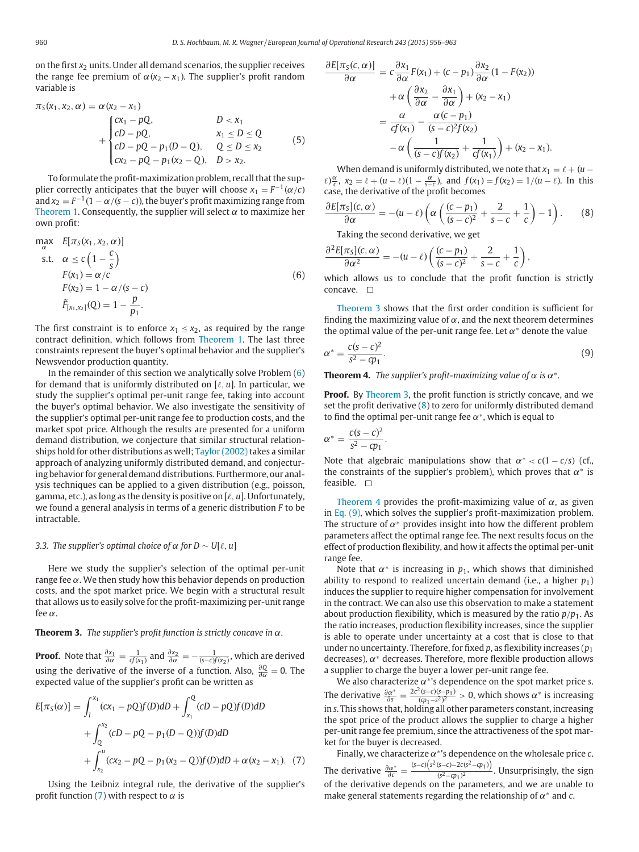<span id="page-4-0"></span>on the first  $x_2$  units. Under all demand scenarios, the supplier receives the range fee premium of  $\alpha(x_2 - x_1)$ . The supplier's profit random variable is

$$
\pi_{S}(x_{1}, x_{2}, \alpha) = \alpha (x_{2} - x_{1})
$$
\n
$$
+ \begin{cases}\ncx_{1} - pQ, & D < x_{1} \\
cD - pQ, & x_{1} \le D \le Q \\
cD - pQ - p_{1}(D - Q), & Q \le D \le x_{2} \\
cx_{2} - pQ - p_{1}(x_{2} - Q), & D > x_{2}.\n\end{cases}
$$
\n(5)

To formulate the profit-maximization problem, recall that the supplier correctly anticipates that the buyer will choose  $x_1 = F^{-1}(\alpha/c)$ and  $x_2 = F^{-1}(1 - \alpha/(s - c))$ , the buyer's profit maximizing range from [Theorem 1.](#page-3-0) Consequently, the supplier will select  $\alpha$  to maximize her own profit:

$$
\max_{\alpha} E[\pi_S(x_1, x_2, \alpha)]
$$
\ns.t.  $\alpha \le c \left(1 - \frac{c}{s}\right)$   
\n
$$
F(x_1) = \alpha/c
$$
  
\n
$$
F(x_2) = 1 - \alpha/(s - c)
$$
  
\n
$$
\tilde{F}_{[x_1, x_2]}(Q) = 1 - \frac{p}{p_1}.
$$
\n(6)

The first constraint is to enforce  $x_1 \le x_2$ , as required by the range contract definition, which follows from [Theorem 1.](#page-3-0) The last three constraints represent the buyer's optimal behavior and the supplier's Newsvendor production quantity.

In the remainder of this section we analytically solve Problem (6) for demand that is uniformly distributed on  $[\ell, u]$ . In particular, we study the supplier's optimal per-unit range fee, taking into account the buyer's optimal behavior. We also investigate the sensitivity of the supplier's optimal per-unit range fee to production costs, and the market spot price. Although the results are presented for a uniform demand distribution, we conjecture that similar structural relation-ships hold for other distributions as well: [Taylor \(2002\)](#page-7-0) takes a similar approach of analyzing uniformly distributed demand, and conjecturing behavior for general demand distributions. Furthermore, our analysis techniques can be applied to a given distribution (e.g., poisson, gamma, etc.), as long as the density is positive on  $[\ell, u]$ . Unfortunately, we found a general analysis in terms of a generic distribution *F* to be intractable.

# *3.3. The supplier's optimal choice of*  $\alpha$  *for*  $D \sim U[\ell, u]$

Here we study the supplier's selection of the optimal per-unit range fee  $\alpha$ . We then study how this behavior depends on production costs, and the spot market price. We begin with a structural result that allows us to easily solve for the profit-maximizing per-unit range fee  $\alpha$ .

# **Theorem 3.** *The supplier's profit function is strictly concave in*  $\alpha$ *.*

**Proof.** Note that  $\frac{\partial x_1}{\partial \alpha} = \frac{1}{f(x_1)}$  and  $\frac{\partial x_2}{\partial \alpha} = -\frac{1}{(s-c)f(x_2)}$ , which are derived using the derivative of the inverse of a function. Also,  $\frac{\partial Q}{\partial \alpha} = 0$ . The expected value of the supplier's profit can be written as

$$
E[\pi_S(\alpha)] = \int_{1}^{x_1} (cx_1 - pQ)f(D) dD + \int_{x_1}^{Q} (cD - pQ)f(D) dD
$$
  
+ 
$$
\int_{Q}^{x_2} (cD - pQ - p_1(D - Q))f(D) dD
$$
  
+ 
$$
\int_{x_2}^{u} (cx_2 - pQ - p_1(x_2 - Q))f(D) dD + \alpha (x_2 - x_1). (7)
$$

Using the Leibniz integral rule, the derivative of the supplier's profit function (7) with respect to  $\alpha$  is

$$
\frac{\partial E[\pi_S(c, \alpha)]}{\partial \alpha} = c \frac{\partial x_1}{\partial \alpha} F(x_1) + (c - p_1) \frac{\partial x_2}{\partial \alpha} (1 - F(x_2))
$$

$$
+ \alpha \left( \frac{\partial x_2}{\partial \alpha} - \frac{\partial x_1}{\partial \alpha} \right) + (x_2 - x_1)
$$

$$
= \frac{\alpha}{cf(x_1)} - \frac{\alpha(c - p_1)}{(s - c)^2 f(x_2)}
$$

$$
- \alpha \left( \frac{1}{(s - c) f(x_2)} + \frac{1}{cf(x_1)} \right) + (x_2 - x_1).
$$

When demand is uniformly distributed, we note that  $x_1 = \ell + (u (\ell) \frac{\alpha}{c}$ ,  $x_2 = \ell + (u - \ell)(1 - \frac{\alpha}{s - c})$ , and  $f(x_1) = f(x_2) = 1/(u - \ell)$ . In this case, the derivative of the profit becomes

$$
\frac{\partial E[\pi_S](c,\alpha)}{\partial \alpha} = -(u-\ell)\left(\alpha\left(\frac{(c-p_1)}{(s-c)^2} + \frac{2}{s-c} + \frac{1}{c}\right) - 1\right). \tag{8}
$$

Taking the second derivative, we get

$$
\frac{\partial^2 E[\pi_S](c,\alpha)}{\partial \alpha^2} = -(u-\ell)\left(\frac{(c-p_1)}{(s-c)^2}+\frac{2}{s-c}+\frac{1}{c}\right),\,
$$

which allows us to conclude that the profit function is strictly  $concave.$   $\Box$ 

Theorem 3 shows that the first order condition is sufficient for finding the maximizing value of  $\alpha$ , and the next theorem determines the optimal value of the per-unit range fee. Let  $\alpha^*$  denote the value

$$
\alpha^* = \frac{c(s-c)^2}{s^2 - cp_1}.
$$
\n(9)

**Theorem 4.** *The supplier's profit-maximizing value of*  $\alpha$  *is*  $\alpha^*$ *.* 

**Proof.** By Theorem 3, the profit function is strictly concave, and we set the profit derivative (8) to zero for uniformly distributed demand to find the optimal per-unit range fee  $\alpha^*$ , which is equal to

$$
\alpha^* = \frac{c(s-c)^2}{s^2 - cp_1}.
$$

Note that algebraic manipulations show that  $\alpha^* < c(1 - c/s)$  (cf., the constraints of the supplier's problem), which proves that  $\alpha^*$  is feasible.  $\square$ 

Theorem 4 provides the profit-maximizing value of  $\alpha$ , as given in Eq. (9), which solves the supplier's profit-maximization problem. The structure of  $\alpha$ <sup>\*</sup> provides insight into how the different problem parameters affect the optimal range fee. The next results focus on the effect of production flexibility, and how it affects the optimal per-unit range fee.

Note that  $\alpha^*$  is increasing in  $p_1$ , which shows that diminished ability to respond to realized uncertain demand (i.e., a higher  $p_1$ ) induces the supplier to require higher compensation for involvement in the contract. We can also use this observation to make a statement about production flexibility, which is measured by the ratio *p*/*p*1. As the ratio increases, production flexibility increases, since the supplier is able to operate under uncertainty at a cost that is close to that under no uncertainty. Therefore, for fixed *p*, as flexibility increases (*p*<sup>1</sup> decreases),  $\alpha^*$  decreases. Therefore, more flexible production allows a supplier to charge the buyer a lower per-unit range fee.

We also characterize α<sup>∗</sup>'s dependence on the spot market price *s*. The derivative  $\frac{\partial \alpha^*}{\partial s} = \frac{2c^2(s-c)(s-p_1)}{(cp_1-s^2)^2} > 0$ , which shows  $\alpha^*$  is increasing in *s*. This shows that, holding all other parameters constant, increasing the spot price of the product allows the supplier to charge a higher per-unit range fee premium, since the attractiveness of the spot market for the buyer is decreased.

Finally, we characterize α<sup>∗</sup>'s dependence on the wholesale price *c*. The derivative  $\frac{\partial \alpha^*}{\partial c} = \frac{(s-c)(s^2(s-c)-2c(s^2-\varphi_1))}{(s^2-\varphi_1)^2}$ . Unsurprisingly, the sign of the derivative depends on the parameters, and we are unable to make general statements regarding the relationship of α<sup>∗</sup> and *c*.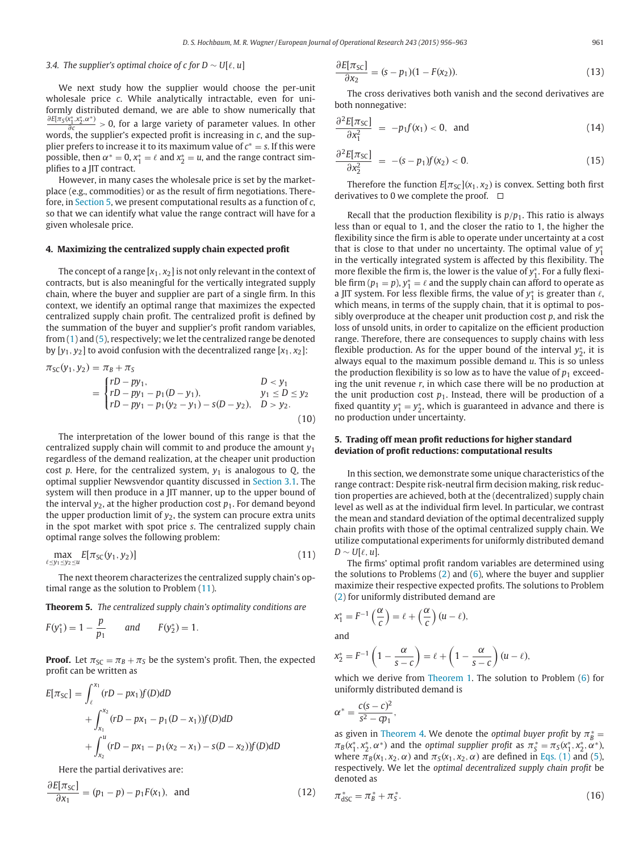# <span id="page-5-0"></span>*3.4. The supplier's optimal choice of c for D* ∼ *U*[ $\ell$ , *u*]

We next study how the supplier would choose the per-unit wholesale price *c*. While analytically intractable, even for uniformly distributed demand, we are able to show numerically that  $\frac{\partial E[\pi_S(\tilde{x}_1^*, x_2^*, \alpha^*)}{\partial c} > 0$ , for a large variety of parameter values. In other words, the supplier's expected profit is increasing in *c*, and the supplier prefers to increase it to its maximum value of *c*<sup>∗</sup> = *s*. If this were possible, then  $\alpha^* = 0$ ,  $x_1^* = \ell$  and  $x_2^* = u$ , and the range contract simplifies to a JIT contract.

However, in many cases the wholesale price is set by the marketplace (e.g., commodities) or as the result of firm negotiations. Therefore, in Section 5, we present computational results as a function of *c*, so that we can identify what value the range contract will have for a given wholesale price.

# **4. Maximizing the centralized supply chain expected profit**

The concept of a range  $[x_1, x_2]$  is not only relevant in the context of contracts, but is also meaningful for the vertically integrated supply chain, where the buyer and supplier are part of a single firm. In this context, we identify an optimal range that maximizes the expected centralized supply chain profit. The centralized profit is defined by the summation of the buyer and supplier's profit random variables, from  $(1)$  and  $(5)$ , respectively; we let the centralized range be denoted by  $[y_1, y_2]$  to avoid confusion with the decentralized range  $[x_1, x_2]$ :

$$
\pi_{SC}(y_1, y_2) = \pi_B + \pi_S
$$
\n
$$
= \begin{cases}\n rD - py_1, & D < y_1 \\
 rD - py_1 - p_1(D - y_1), & y_1 \le D \le y_2 \\
 rD - py_1 - p_1(y_2 - y_1) - s(D - y_2), & D > y_2.\n\end{cases}
$$
\n(10)

The interpretation of the lower bound of this range is that the centralized supply chain will commit to and produce the amount *y*<sup>1</sup> regardless of the demand realization, at the cheaper unit production cost *p*. Here, for the centralized system,  $y_1$  is analogous to *Q*, the optimal supplier Newsvendor quantity discussed in [Section 3.1.](#page-3-0) The system will then produce in a JIT manner, up to the upper bound of the interval  $y_2$ , at the higher production cost  $p_1$ . For demand beyond the upper production limit of  $y_2$ , the system can procure extra units in the spot market with spot price *s*. The centralized supply chain optimal range solves the following problem:

$$
\max_{\ell \le y_1 \le y_2 \le u} E[\pi_{\text{SC}}(y_1, y_2)] \tag{11}
$$

The next theorem characterizes the centralized supply chain's optimal range as the solution to Problem (11).

**Theorem 5.** *The centralized supply chain's optimality conditions are*

$$
F(y_1^*) = 1 - \frac{p}{p_1}
$$
 and  $F(y_2^*) = 1$ .

**Proof.** Let  $\pi_{SC} = \pi_B + \pi_S$  be the system's profit. Then, the expected profit can be written as

$$
E[\pi_{SC}] = \int_{\ell}^{x_1} (rD - px_1)f(D) dD
$$
  
+ 
$$
\int_{x_1}^{x_2} (rD - px_1 - p_1(D - x_1))f(D) dD
$$
  
+ 
$$
\int_{x_2}^{u} (rD - px_1 - p_1(x_2 - x_1) - s(D - x_2))f(D) dD
$$

Here the partial derivatives are:

$$
\frac{\partial E[\pi_{\rm SC}]}{\partial x_1} = (p_1 - p) - p_1 F(x_1), \text{ and}
$$
 (12)

$$
\frac{\partial E[\pi_{\rm SC}]}{\partial x_2} = (s - p_1)(1 - F(x_2)).\tag{13}
$$

The cross derivatives both vanish and the second derivatives are both nonnegative:

$$
\frac{\partial^2 E[\pi_{\rm SC}]}{\partial x_1^2} = -p_1 f(x_1) < 0, \text{ and} \tag{14}
$$

$$
\frac{\partial^2 E[\pi_{\rm SC}]}{\partial x_2^2} = -(s - p_1) f(x_2) < 0. \tag{15}
$$

Therefore the function  $E[\pi_{SC}](x_1, x_2)$  is convex. Setting both first derivatives to 0 we complete the proof.  $\square$ 

Recall that the production flexibility is  $p/p_1$ . This ratio is always less than or equal to 1, and the closer the ratio to 1, the higher the flexibility since the firm is able to operate under uncertainty at a cost that is close to that under no uncertainty. The optimal value of  $y_1^*$ in the vertically integrated system is affected by this flexibility. The more flexible the firm is, the lower is the value of *y*<sup>∗</sup><sub>1</sub>. For a fully flexible firm  $(p_1 = p)$ ,  $y_1^* = \ell$  and the supply chain can afford to operate as a JIT system. For less flexible firms, the value of  $y_1^*$  is greater than  $\ell$ , which means, in terms of the supply chain, that it is optimal to possibly overproduce at the cheaper unit production cost *p*, and risk the loss of unsold units, in order to capitalize on the efficient production range. Therefore, there are consequences to supply chains with less flexible production. As for the upper bound of the interval  $y_2^*$ , it is always equal to the maximum possible demand *u*. This is so unless the production flexibility is so low as to have the value of  $p_1$  exceeding the unit revenue *r*, in which case there will be no production at the unit production cost  $p_1$ . Instead, there will be production of a fixed quantity  $y_1^* = y_2^*$ , which is guaranteed in advance and there is no production under uncertainty.

# **5. Trading off mean profit reductions for higher standard deviation of profit reductions: computational results**

In this section, we demonstrate some unique characteristics of the range contract: Despite risk-neutral firm decision making, risk reduction properties are achieved, both at the (decentralized) supply chain level as well as at the individual firm level. In particular, we contrast the mean and standard deviation of the optimal decentralized supply chain profits with those of the optimal centralized supply chain. We utilize computational experiments for uniformly distributed demand  $D \sim U[\ell, u].$ 

The firms' optimal profit random variables are determined using the solutions to Problems  $(2)$  and  $(6)$ , where the buyer and supplier maximize their respective expected profits. The solutions to Problem [\(2\)](#page-3-0) for uniformly distributed demand are

$$
x_1^* = F^{-1}\left(\frac{\alpha}{c}\right) = \ell + \left(\frac{\alpha}{c}\right)(u - \ell),
$$

and

$$
x_2^* = F^{-1}\left(1 - \frac{\alpha}{s - c}\right) = \ell + \left(1 - \frac{\alpha}{s - c}\right)(u - \ell),
$$

which we derive from [Theorem 1.](#page-3-0) The solution to Problem [\(6\)](#page-4-0) for uniformly distributed demand is

$$
\alpha^* = \frac{c(s-c)^2}{s^2 - cp_1},
$$

as given in [Theorem 4.](#page-4-0) We denote the *optimal buyer profit* by  $\pi_B^*$  =  $\pi_B(x_1^*, x_2^*, \alpha^*)$  and the *optimal supplier profit* as  $\pi_S^* = \pi_S(x_1^*, x_2^*, \alpha^*)$ , where  $\pi_B(x_1, x_2, \alpha)$  and  $\pi_S(x_1, x_2, \alpha)$  are defined in [Eqs. \(1\)](#page-3-0) and [\(5\)](#page-4-0), respectively. We let the *optimal decentralized supply chain profit* be denoted as

$$
\pi_{\text{dSC}}^* = \pi_B^* + \pi_S^*.
$$
\n<sup>(16)</sup>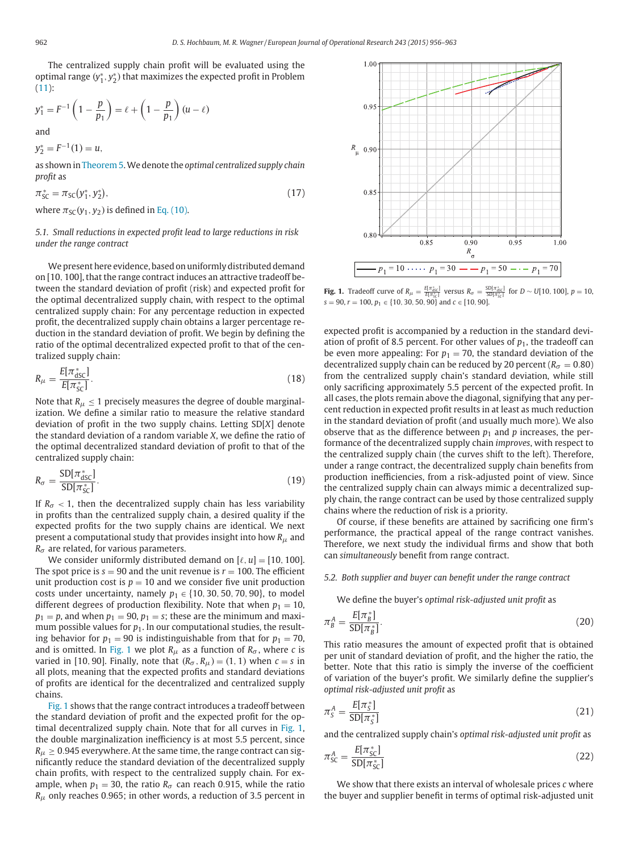The centralized supply chain profit will be evaluated using the optimal range  $(y_1^*, y_2^*)$  that maximizes the expected profit in Problem [\(11\)](#page-5-0):

$$
y_1^* = F^{-1}\left(1 - \frac{p}{p_1}\right) = \ell + \left(1 - \frac{p}{p_1}\right)(u - \ell)
$$

and

 $y_2^* = F^{-1}(1) = u$ ,

as shown in [Theorem 5.](#page-5-0)We denote the *optimal centralized supply chain profit* as

$$
\pi_{SC}^* = \pi_{SC}(y_1^*, y_2^*),\tag{17}
$$

where  $\pi_{SC}(y_1, y_2)$  is defined in [Eq. \(10\).](#page-5-0)

# *5.1. Small reductions in expected profit lead to large reductions in risk under the range contract*

We present here evidence, based on uniformly distributed demand on [10, 100], that the range contract induces an attractive tradeoff between the standard deviation of profit (risk) and expected profit for the optimal decentralized supply chain, with respect to the optimal centralized supply chain: For any percentage reduction in expected profit, the decentralized supply chain obtains a larger percentage reduction in the standard deviation of profit. We begin by defining the ratio of the optimal decentralized expected profit to that of the centralized supply chain:

$$
R_{\mu} = \frac{E[\pi_{\text{dSC}}^{*}]}{E[\pi_{\text{SC}}^{*}]}. \tag{18}
$$

Note that  $R_{\mu} \leq 1$  precisely measures the degree of double marginalization. We define a similar ratio to measure the relative standard deviation of profit in the two supply chains. Letting SD[*X*] denote the standard deviation of a random variable *X*, we define the ratio of the optimal decentralized standard deviation of profit to that of the centralized supply chain:

$$
R_{\sigma} = \frac{\text{SD}[\pi_{\text{dSC}}^{*}]}{\text{SD}[\pi_{\text{SC}}^{*}]}. \tag{19}
$$

If  $R_{\sigma}$  < 1, then the decentralized supply chain has less variability in profits than the centralized supply chain, a desired quality if the expected profits for the two supply chains are identical. We next present a computational study that provides insight into how  $R_{\mu}$  and  $R_{\sigma}$  are related, for various parameters.

We consider uniformly distributed demand on  $[\ell, u] = [10, 100]$ . The spot price is  $s = 90$  and the unit revenue is  $r = 100$ . The efficient unit production cost is  $p = 10$  and we consider five unit production costs under uncertainty, namely  $p_1 \in \{10, 30, 50, 70, 90\}$ , to model different degrees of production flexibility. Note that when  $p_1 = 10$ ,  $p_1 = p$ , and when  $p_1 = 90$ ,  $p_1 = s$ ; these are the minimum and maximum possible values for  $p_1$ . In our computational studies, the resulting behavior for  $p_1 = 90$  is indistinguishable from that for  $p_1 = 70$ , and is omitted. In Fig. 1 we plot  $R_{\mu}$  as a function of  $R_{\sigma}$ , where *c* is varied in [10, 90]. Finally, note that  $(R_{\sigma}, R_{\mu}) = (1, 1)$  when  $c = s$  in all plots, meaning that the expected profits and standard deviations of profits are identical for the decentralized and centralized supply chains.

Fig. 1 shows that the range contract introduces a tradeoff between the standard deviation of profit and the expected profit for the optimal decentralized supply chain. Note that for all curves in Fig. 1, the double marginalization inefficiency is at most 5.5 percent, since  $R_{\mu} \geq 0.945$  everywhere. At the same time, the range contract can significantly reduce the standard deviation of the decentralized supply chain profits, with respect to the centralized supply chain. For example, when  $p_1 = 30$ , the ratio  $R_\sigma$  can reach 0.915, while the ratio *R*μ only reaches 0.965; in other words, a reduction of 3.5 percent in



**Fig. 1.** Tradeoff curve of  $R_{\mu} = \frac{E[\pi_{dsc}^*]}{E[\pi_{sc}^*]}$  versus  $R_{\sigma} = \frac{SD[\pi_{dsc}^*]}{SD[\pi_{sc}^*]}$  for  $D \sim U[10, 100]$ ,  $p = 10$ ,  $s = 90$ ,  $r = 100$ ,  $p_1 \in \{10, 30, 50, 90\}$  and  $c \in [10, 90]$ .

expected profit is accompanied by a reduction in the standard deviation of profit of 8.5 percent. For other values of  $p_1$ , the tradeoff can be even more appealing: For  $p_1 = 70$ , the standard deviation of the decentralized supply chain can be reduced by 20 percent ( $R_{\sigma} = 0.80$ ) from the centralized supply chain's standard deviation, while still only sacrificing approximately 5.5 percent of the expected profit. In all cases, the plots remain above the diagonal, signifying that any percent reduction in expected profit results in at least as much reduction in the standard deviation of profit (and usually much more). We also observe that as the difference between  $p_1$  and  $p$  increases, the performance of the decentralized supply chain *improves*, with respect to the centralized supply chain (the curves shift to the left). Therefore, under a range contract, the decentralized supply chain benefits from production inefficiencies, from a risk-adjusted point of view. Since the centralized supply chain can always mimic a decentralized supply chain, the range contract can be used by those centralized supply chains where the reduction of risk is a priority.

Of course, if these benefits are attained by sacrificing one firm's performance, the practical appeal of the range contract vanishes. Therefore, we next study the individual firms and show that both can *simultaneously* benefit from range contract.

# *5.2. Both supplier and buyer can benefit under the range contract*

We define the buyer's *optimal risk-adjusted unit profit* as

$$
\pi_B^A = \frac{E[\pi_B^*]}{\text{SD}[\pi_B^*]}.
$$
\n(20)

This ratio measures the amount of expected profit that is obtained per unit of standard deviation of profit, and the higher the ratio, the better. Note that this ratio is simply the inverse of the coefficient of variation of the buyer's profit. We similarly define the supplier's *optimal risk-adjusted unit profit* as

$$
\pi_S^A = \frac{E[\pi_S^*]}{\text{SD}[\pi_S^*]}
$$
\n(21)

and the centralized supply chain's *optimal risk-adjusted unit profit* as

$$
\pi_{\rm SC}^A = \frac{E[\pi_{\rm SC}^*]}{\rm SD}[\pi_{\rm SC}^*] \tag{22}
$$

We show that there exists an interval of wholesale prices *c* where the buyer and supplier benefit in terms of optimal risk-adjusted unit